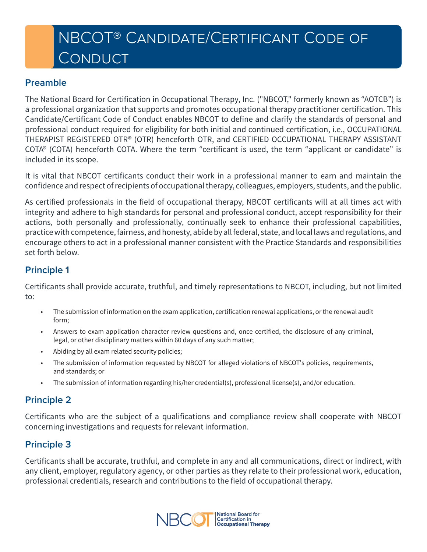# NBCOT® Candidate/Certificant Code of **CONDUCT**

#### **Preamble**

The National Board for Certification in Occupational Therapy, Inc. ("NBCOT," formerly known as "AOTCB") is a professional organization that supports and promotes occupational therapy practitioner certification. This Candidate/Certificant Code of Conduct enables NBCOT to define and clarify the standards of personal and professional conduct required for eligibility for both initial and continued certification, i.e., OCCUPATIONAL THERAPIST REGISTERED OTR® (OTR) henceforth OTR, and CERTIFIED OCCUPATIONAL THERAPY ASSISTANT COTA® (COTA) henceforth COTA. Where the term "certificant is used, the term "applicant or candidate" is included in its scope.

It is vital that NBCOT certificants conduct their work in a professional manner to earn and maintain the confidence and respect of recipients of occupational therapy, colleagues, employers, students, and the public.

As certified professionals in the field of occupational therapy, NBCOT certificants will at all times act with integrity and adhere to high standards for personal and professional conduct, accept responsibility for their actions, both personally and professionally, continually seek to enhance their professional capabilities, practice with competence, fairness, and honesty, abide by all federal, state, and local laws and regulations, and encourage others to act in a professional manner consistent with the Practice Standards and responsibilities set forth below.

## **Principle 1**

Certificants shall provide accurate, truthful, and timely representations to NBCOT, including, but not limited to:

- The submission of information on the exam application, certification renewal applications, or the renewal audit form;
- Answers to exam application character review questions and, once certified, the disclosure of any criminal, legal, or other disciplinary matters within 60 days of any such matter;
- Abiding by all exam related security policies;
- The submission of information requested by NBCOT for alleged violations of NBCOT's policies, requirements, and standards; or
- The submission of information regarding his/her credential(s), professional license(s), and/or education.

# **Principle 2**

Certificants who are the subject of a qualifications and compliance review shall cooperate with NBCOT concerning investigations and requests for relevant information.

### **Principle 3**

Certificants shall be accurate, truthful, and complete in any and all communications, direct or indirect, with any client, employer, regulatory agency, or other parties as they relate to their professional work, education, professional credentials, research and contributions to the field of occupational therapy.